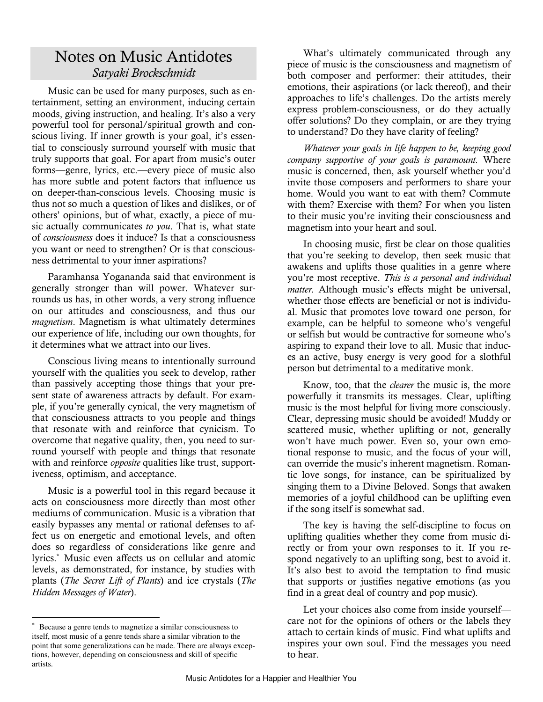# Notes on Music Antidotes *Satyaki Brockschmidt*

Music can be used for many purposes, such as entertainment, setting an environment, inducing certain moods, giving instruction, and healing. It's also a very powerful tool for personal/spiritual growth and conscious living. If inner growth is your goal, it's essential to consciously surround yourself with music that truly supports that goal. For apart from music's outer forms—genre, lyrics, etc.—every piece of music also has more subtle and potent factors that influence us on deeper-than-conscious levels. Choosing music is thus not so much a question of likes and dislikes, or of others' opinions, but of what, exactly, a piece of music actually communicates *to you*. That is, what state of *consciousness* does it induce? Is that a consciousness you want or need to strengthen? Or is that consciousness detrimental to your inner aspirations?

Paramhansa Yogananda said that environment is generally stronger than will power. Whatever surrounds us has, in other words, a very strong influence on our attitudes and consciousness, and thus our *magnetism*. Magnetism is what ultimately determines our experience of life, including our own thoughts, for it determines what we attract into our lives.

Conscious living means to intentionally surround yourself with the qualities you seek to develop, rather than passively accepting those things that your present state of awareness attracts by default. For example, if you're generally cynical, the very magnetism of that consciousness attracts to you people and things that resonate with and reinforce that cynicism. To overcome that negative quality, then, you need to surround yourself with people and things that resonate with and reinforce *opposite* qualities like trust, supportiveness, optimism, and acceptance.

Music is a powerful tool in this regard because it acts on consciousness more directly than most other mediums of communication. Music is a vibration that easily bypasses any mental or rational defenses to affect us on energetic and emotional levels, and often does so regardless of considerations like genre and lyrics.\* Music even affects us on cellular and atomic levels, as demonstrated, for instance, by studies with plants (*The Secret Lift of Plants*) and ice crystals (*The Hidden Messages of Water*).

 $\overline{a}$ 

What's ultimately communicated through any piece of music is the consciousness and magnetism of both composer and performer: their attitudes, their emotions, their aspirations (or lack thereof), and their approaches to life's challenges. Do the artists merely express problem-consciousness, or do they actually offer solutions? Do they complain, or are they trying to understand? Do they have clarity of feeling?

*Whatever your goals in life happen to be, keeping good company supportive of your goals is paramount.* Where music is concerned, then, ask yourself whether you'd invite those composers and performers to share your home. Would you want to eat with them? Commute with them? Exercise with them? For when you listen to their music you're inviting their consciousness and magnetism into your heart and soul.

In choosing music, first be clear on those qualities that you're seeking to develop, then seek music that awakens and uplifts those qualities in a genre where you're most receptive. *This is a personal and individual matter.* Although music's effects might be universal, whether those effects are beneficial or not is individual. Music that promotes love toward one person, for example, can be helpful to someone who's vengeful or selfish but would be contractive for someone who's aspiring to expand their love to all. Music that induces an active, busy energy is very good for a slothful person but detrimental to a meditative monk.

Know, too, that the *clearer* the music is, the more powerfully it transmits its messages. Clear, uplifting music is the most helpful for living more consciously. Clear, depressing music should be avoided! Muddy or scattered music, whether uplifting or not, generally won't have much power. Even so, your own emotional response to music, and the focus of your will, can override the music's inherent magnetism. Romantic love songs, for instance, can be spiritualized by singing them to a Divine Beloved. Songs that awaken memories of a joyful childhood can be uplifting even if the song itself is somewhat sad.

The key is having the self-discipline to focus on uplifting qualities whether they come from music directly or from your own responses to it. If you respond negatively to an uplifting song, best to avoid it. It's also best to avoid the temptation to find music that supports or justifies negative emotions (as you find in a great deal of country and pop music).

Let your choices also come from inside yourself care not for the opinions of others or the labels they attach to certain kinds of music. Find what uplifts and inspires your own soul. Find the messages you need to hear.

Because a genre tends to magnetize a similar consciousness to itself, most music of a genre tends share a similar vibration to the point that some generalizations can be made. There are always exceptions, however, depending on consciousness and skill of specific artists.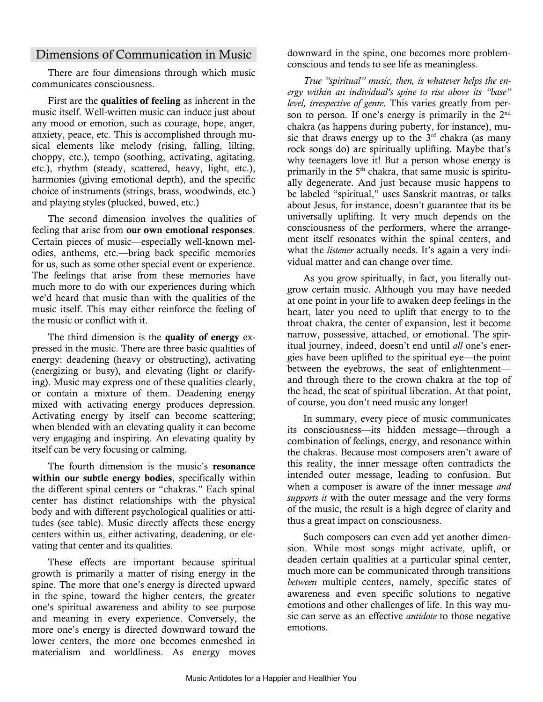## Dimensions of Communication in Music

There are four dimensions through which music communicates consciousness.

First are the qualities of feeling as inherent in the music itself. Well-written music can induce just about any mood or emotion, such as courage, hope, anger, anxiety, peace, etc. This is accomplished through musical elements like melody (rising, falling, lilting, choppy, etc.), tempo (soothing, activating, agitating, etc.), rhythm (steady, scattered, heavy, light, etc.), harmonies (giving emotional depth), and the specific choice of instruments (strings, brass, woodwinds, etc.) and playing styles (plucked, bowed, etc.)

The second dimension involves the qualities of feeling that arise from our own emotional responses. Certain pieces of music—especially well-known melodies, anthems, etc.—bring back specific memories for us, such as some other special event or experience. The feelings that arise from these memories have much more to do with our experiences during which we'd heard that music than with the qualities of the music itself. This may either reinforce the feeling of the music or conflict with it.

The third dimension is the quality of energy expressed in the music. There are three basic qualities of energy: deadening (heavy or obstructing), activating (energizing or busy), and elevating (light or clarifying). Music may express one of these qualities clearly, or contain a mixture of them. Deadening energy mixed with activating energy produces depression. Activating energy by itself can become scattering; when blended with an elevating quality it can become very engaging and inspiring. An elevating quality by itself can be very focusing or calming.

The fourth dimension is the music's resonance within our subtle energy bodies, specifically within the different spinal centers or "chakras." Each spinal center has distinct relationships with the physical body and with different psychological qualities or attitudes (see table). Music directly affects these energy centers within us, either activating, deadening, or elevating that center and its qualities.

These effects are important because spiritual growth is primarily a matter of rising energy in the spine. The more that one's energy is directed upward in the spine, toward the higher centers, the greater one's spiritual awareness and ability to see purpose and meaning in every experience. Conversely, the more one's energy is directed downward toward the lower centers, the more one becomes enmeshed in materialism and worldliness. As energy moves downward in the spine, one becomes more problemconscious and tends to see life as meaningless.

*True "spiritual" music, then, is whatever helps the energy within an individual's spine to rise above its "base" level, irrespective of genre.* This varies greatly from person to person*.* If one's energy is primarily in the 2nd chakra (as happens during puberty, for instance), music that draws energy up to the  $3<sup>rd</sup>$  chakra (as many rock songs do) are spiritually uplifting. Maybe that's why teenagers love it! But a person whose energy is primarily in the 5<sup>th</sup> chakra, that same music is spiritually degenerate. And just because music happens to be labeled "spiritual," uses Sanskrit mantras, or talks about Jesus, for instance, doesn't guarantee that its be universally uplifting. It very much depends on the consciousness of the performers, where the arrangement itself resonates within the spinal centers, and what the *listener* actually needs. It's again a very individual matter and can change over time.

As you grow spiritually, in fact, you literally outgrow certain music. Although you may have needed at one point in your life to awaken deep feelings in the heart, later you need to uplift that energy to to the throat chakra, the center of expansion, lest it become narrow, possessive, attached, or emotional. The spiritual journey, indeed, doesn't end until *all* one's energies have been uplifted to the spiritual eye—the point between the eyebrows, the seat of enlightenment and through there to the crown chakra at the top of the head, the seat of spiritual liberation. At that point, of course, you don't need music any longer!

In summary, every piece of music communicates its consciousness—its hidden message—through a combination of feelings, energy, and resonance within the chakras. Because most composers aren't aware of this reality, the inner message often contradicts the intended outer message, leading to confusion. But when a composer is aware of the inner message *and supports it* with the outer message and the very forms of the music, the result is a high degree of clarity and thus a great impact on consciousness.

Such composers can even add yet another dimension. While most songs might activate, uplift, or deaden certain qualities at a particular spinal center, much more can be communicated through transitions *between* multiple centers, namely, specific states of awareness and even specific solutions to negative emotions and other challenges of life. In this way music can serve as an effective *antidote* to those negative emotions.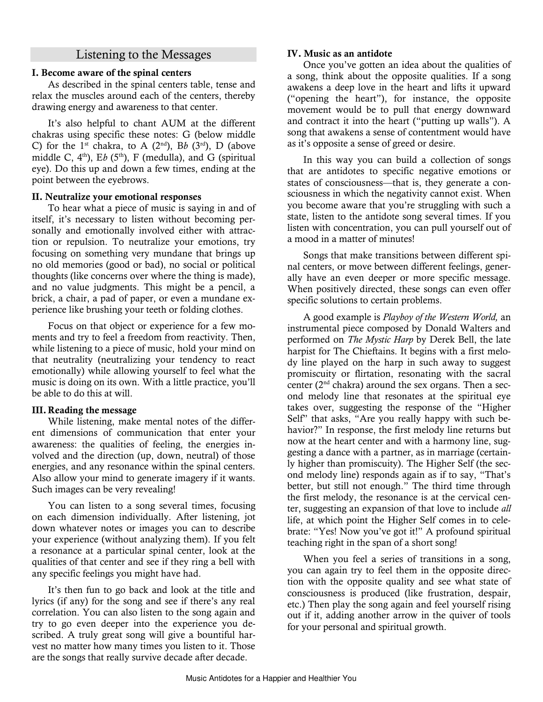## Listening to the Messages

### I. Become aware of the spinal centers

As described in the spinal centers table, tense and relax the muscles around each of the centers, thereby drawing energy and awareness to that center.

It's also helpful to chant AUM at the different chakras using specific these notes: G (below middle C) for the 1<sup>st</sup> chakra, to A ( $2<sup>nd</sup>$ ), Bb ( $3<sup>rd</sup>$ ), D (above middle C,  $4<sup>th</sup>$ ), Eb ( $5<sup>th</sup>$ ), F (medulla), and G (spiritual eye). Do this up and down a few times, ending at the point between the eyebrows.

### II. Neutralize your emotional responses

To hear what a piece of music is saying in and of itself, it's necessary to listen without becoming personally and emotionally involved either with attraction or repulsion. To neutralize your emotions, try focusing on something very mundane that brings up no old memories (good or bad), no social or political thoughts (like concerns over where the thing is made), and no value judgments. This might be a pencil, a brick, a chair, a pad of paper, or even a mundane experience like brushing your teeth or folding clothes.

Focus on that object or experience for a few moments and try to feel a freedom from reactivity. Then, while listening to a piece of music, hold your mind on that neutrality (neutralizing your tendency to react emotionally) while allowing yourself to feel what the music is doing on its own. With a little practice, you'll be able to do this at will.

### III. Reading the message

While listening, make mental notes of the different dimensions of communication that enter your awareness: the qualities of feeling, the energies involved and the direction (up, down, neutral) of those energies, and any resonance within the spinal centers. Also allow your mind to generate imagery if it wants. Such images can be very revealing!

You can listen to a song several times, focusing on each dimension individually. After listening, jot down whatever notes or images you can to describe your experience (without analyzing them). If you felt a resonance at a particular spinal center, look at the qualities of that center and see if they ring a bell with any specific feelings you might have had.

It's then fun to go back and look at the title and lyrics (if any) for the song and see if there's any real correlation. You can also listen to the song again and try to go even deeper into the experience you described. A truly great song will give a bountiful harvest no matter how many times you listen to it. Those are the songs that really survive decade after decade.

#### IV. Music as an antidote

Once you've gotten an idea about the qualities of a song, think about the opposite qualities. If a song awakens a deep love in the heart and lifts it upward ("opening the heart"), for instance, the opposite movement would be to pull that energy downward and contract it into the heart ("putting up walls"). A song that awakens a sense of contentment would have as it's opposite a sense of greed or desire.

In this way you can build a collection of songs that are antidotes to specific negative emotions or states of consciousness—that is, they generate a consciousness in which the negativity cannot exist. When you become aware that you're struggling with such a state, listen to the antidote song several times. If you listen with concentration, you can pull yourself out of a mood in a matter of minutes!

Songs that make transitions between different spinal centers, or move between different feelings, generally have an even deeper or more specific message. When positively directed, these songs can even offer specific solutions to certain problems.

A good example is *Playboy of the Western World,* an instrumental piece composed by Donald Walters and performed on *The Mystic Harp* by Derek Bell, the late harpist for The Chieftains. It begins with a first melody line played on the harp in such away to suggest promiscuity or flirtation, resonating with the sacral center ( $2<sup>nd</sup>$  chakra) around the sex organs. Then a second melody line that resonates at the spiritual eye takes over, suggesting the response of the "Higher Self" that asks, "Are you really happy with such behavior?" In response, the first melody line returns but now at the heart center and with a harmony line, suggesting a dance with a partner, as in marriage (certainly higher than promiscuity). The Higher Self (the second melody line) responds again as if to say, "That's better, but still not enough." The third time through the first melody, the resonance is at the cervical center, suggesting an expansion of that love to include *all*  life, at which point the Higher Self comes in to celebrate: "Yes! Now you've got it!" A profound spiritual teaching right in the span of a short song!

When you feel a series of transitions in a song, you can again try to feel them in the opposite direction with the opposite quality and see what state of consciousness is produced (like frustration, despair, etc.) Then play the song again and feel yourself rising out if it, adding another arrow in the quiver of tools for your personal and spiritual growth.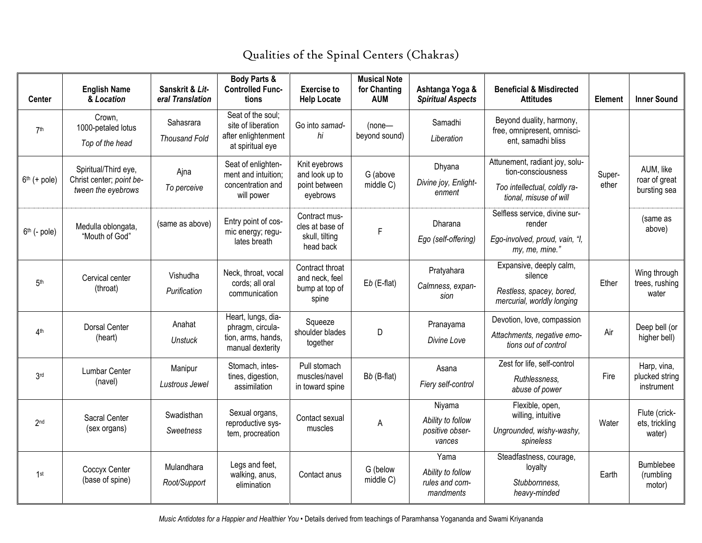| <b>Center</b>            | <b>English Name</b><br>& Location                                      | Sanskrit & Lit-<br>eral Translation | Body Parts &<br><b>Controlled Func-</b><br>tions                                   | <b>Exercise to</b><br><b>Help Locate</b>                        | <b>Musical Note</b><br>for Chanting<br><b>AUM</b> | Ashtanga Yoga &<br><b>Spiritual Aspects</b>              | <b>Beneficial &amp; Misdirected</b><br><b>Attitudes</b>                                                        | Element         | <b>Inner Sound</b>                          |
|--------------------------|------------------------------------------------------------------------|-------------------------------------|------------------------------------------------------------------------------------|-----------------------------------------------------------------|---------------------------------------------------|----------------------------------------------------------|----------------------------------------------------------------------------------------------------------------|-----------------|---------------------------------------------|
| 7th                      | Crown,<br>1000-petaled lotus<br>Top of the head                        | Sahasrara<br><b>Thousand Fold</b>   | Seat of the soul;<br>site of liberation<br>after enlightenment<br>at spiritual eye | Go into samad-<br>hi                                            | $(none - )$<br>beyond sound)                      | Samadhi<br>Liberation                                    | Beyond duality, harmony,<br>free, omnipresent, omnisci-<br>ent, samadhi bliss                                  |                 |                                             |
| $6th$ (+ pole)           | Spiritual/Third eye,<br>Christ center; point be-<br>tween the eyebrows | Ajna<br>To perceive                 | Seat of enlighten-<br>ment and intuition;<br>concentration and<br>will power       | Knit eyebrows<br>and look up to<br>point between<br>eyebrows    | G (above<br>middle C)                             | Dhyana<br>Divine joy, Enlight-<br>enment                 | Attunement, radiant joy, solu-<br>tion-consciousness<br>Too intellectual, coldly ra-<br>tional, misuse of will | Super-<br>ether | AUM, like<br>roar of great<br>bursting sea  |
| 6 <sup>th</sup> (- pole) | Medulla oblongata,<br>"Mouth of God"                                   | (same as above)                     | Entry point of cos-<br>mic energy; regu-<br>lates breath                           | Contract mus-<br>cles at base of<br>skull, tilting<br>head back | F                                                 | Dharana<br>Ego (self-offering)                           | Selfless service, divine sur-<br>render<br>Ego-involved, proud, vain, "I,<br>my, me, mine."                    |                 | (same as<br>above)                          |
| 5 <sup>th</sup>          | Cervical center<br>(throat)                                            | Vishudha<br>Purification            | Neck, throat, vocal<br>cords; all oral<br>communication                            | Contract throat<br>and neck, feel<br>bump at top of<br>spine    | $Eb$ (E-flat)                                     | Pratyahara<br>Calmness, expan-<br>sion                   | Expansive, deeply calm,<br>silence<br>Restless, spacey, bored,<br>mercurial, worldly longing                   | Ether           | Wing through<br>trees, rushing<br>water     |
| 4 <sup>th</sup>          | <b>Dorsal Center</b><br>(heart)                                        | Anahat<br><b>Unstuck</b>            | Heart, lungs, dia-<br>phragm, circula-<br>tion, arms, hands,<br>manual dexterity   | Squeeze<br>shoulder blades<br>together                          | D                                                 | Pranayama<br>Divine Love                                 | Devotion, love, compassion<br>Attachments, negative emo-<br>tions out of control                               | Air             | Deep bell (or<br>higher bell)               |
| 3 <sub>rd</sub>          | Lumbar Center<br>(navel)                                               | Manipur<br>Lustrous Jewel           | Stomach, intes-<br>tines, digestion,<br>assimilation                               | Pull stomach<br>muscles/navel<br>in toward spine                | Bb (B-flat)                                       | Asana<br>Fiery self-control                              | Zest for life, self-control<br>Ruthlessness,<br>abuse of power                                                 | Fire            | Harp, vina,<br>plucked string<br>instrument |
| 2 <sub>nd</sub>          | Sacral Center<br>(sex organs)                                          | Swadisthan<br>Sweetness             | Sexual organs,<br>reproductive sys-<br>tem, procreation                            | Contact sexual<br>muscles                                       | A                                                 | Niyama<br>Ability to follow<br>positive obser-<br>vances | Flexible, open,<br>willing, intuitive<br>Ungrounded, wishy-washy,<br>spineless                                 | Water           | Flute (crick-<br>ets, trickling<br>water)   |
| 1st                      | Coccyx Center<br>(base of spine)                                       | Mulandhara<br>Root/Support          | Legs and feet,<br>walking, anus,<br>elimination                                    | Contact anus                                                    | G (below<br>middle C)                             | Yama<br>Ability to follow<br>rules and com-<br>mandments | Steadfastness, courage,<br>loyalty<br>Stubbornness.<br>heavy-minded                                            | Earth           | Bumblebee<br>(rumbling<br>motor)            |

# Qualities of the Spinal Centers (Chakras)

*Music Antidotes for a Happier and Healthier You* • Details derived from teachings of Paramhansa Yogananda and Swami Kriyananda